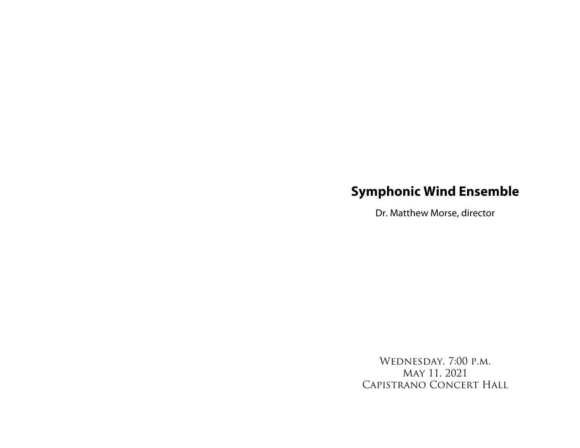## **Symphonic Wind Ensemble**

Dr. Matthew Morse, director

Wednesday, 7:00 p.m. May 11, 2021 Capistrano Concert Hall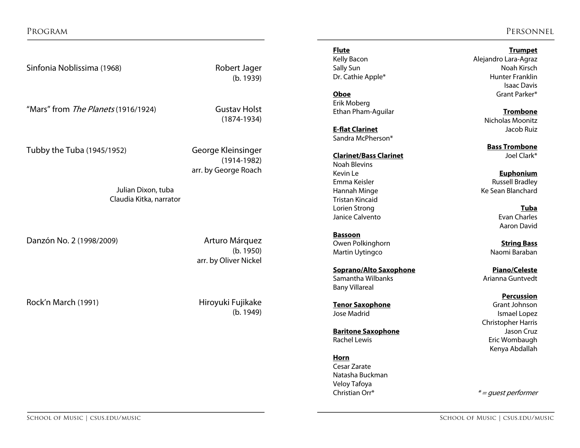Program Personnel

Sinfonia Noblissima (1968) Robert Jager

(b. 1939)

"Mars" from The Planets (1916/1924) Gustav Holst (1874-1934)

Tubby the Tuba (1945/1952) George Kleinsinger

(1914-1982) arr. by George Roach

Julian Dixon, tuba Claudia Kitka, narrator

Danzón No. 2 (1998/2009) Arturo Márquez

(b. 1950) arr. by Oliver Nickel

Rock'n March (1991) **Hiroyuki Fujikake** 

(b. 1949)

**Flute Trumpet**

Erik Moberg Ethan Pham-Aguilar **Trombone**

**E-flat Clarinet** Jacob Ruiz Sandra McPherson\*

## **Clarinet/Bass Clarinet Claring Claring Claring Set Clark**\*

Noah Blevins Kevin Le **Euphonium** Tristan Kincaid Lorien Strong **Tuba** Janice Calvento **Evan Charles** Evan Charles

**Bassoon Owen Polkinghorn <b>String Bass String Bass** Martin Uytingco **National Martin Uytingco** Naomi Baraban

**Soprano/Alto Saxophone Piano/Celeste** Samantha Wilbanks **Arianna Guntvedt** Bany Villareal

**Tenor Saxophone** Jose Madrid **Ismael Lopez** 

**Baritone Saxophone Jason Cruz** Rachel Lewis **Example 20** Eric Wombaugh

**Horn** Cesar Zarate Natasha Buckman Veloy Tafoya Christian Orr $* = quest$  performer

Alejandro Lara-Agraz Sally Sun Noah Kirsch Dr. Cathie Apple\* The Cathie Apple of the Cathien Hunter Franklin Isaac Davis **Oboe** Grant Parker\*

Nicholas Moonitz

**Bass Trombone**

Emma Keisler **Russell Bradley** Hannah Minge Ke Sean Blanchard

Aaron David

**Percussion**<br>Grant Johnson

Christopher Harris Kenya Abdallah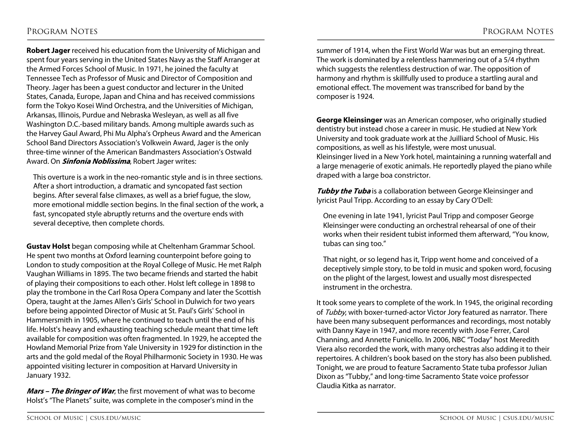**Robert Jager** received his education from the University of Michigan and spent four years serving in the United States Navy as the Staff Arranger at the Armed Forces School of Music. In 1971, he joined the faculty at Tennessee Tech as Professor of Music and Director of Composition and Theory. Jager has been a guest conductor and lecturer in the United States, Canada, Europe, Japan and China and has received commissions form the Tokyo Kosei Wind Orchestra, and the Universities of Michigan, Arkansas, Illinois, Purdue and Nebraska Wesleyan, as well as all five Washington D.C.-based military bands. Among multiple awards such as the Harvey Gaul Award, Phi Mu Alpha's Orpheus Award and the American School Band Directors Association's Volkwein Award, Jager is the only three-time winner of the American Bandmasters Association's Ostwald Award. On **Sinfonia Noblissima**, Robert Jager writes:

This overture is a work in the neo-romantic style and is in three sections. After a short introduction, a dramatic and syncopated fast section begins. After several false climaxes, as well as a brief fugue, the slow, more emotional middle section begins. In the final section of the work, a fast, syncopated style abruptly returns and the overture ends with several deceptive, then complete chords.

**Gustav Holst** began composing while at Cheltenham Grammar School. He spent two months at Oxford learning counterpoint before going to London to study composition at the Royal College of Music. He met Ralph Vaughan Williams in 1895. The two became friends and started the habit of playing their compositions to each other. Holst left college in 1898 to play the trombone in the Carl Rosa Opera Company and later the Scottish Opera, taught at the James Allen's Girls' School in Dulwich for two years before being appointed Director of Music at St. Paul's Girls' School in Hammersmith in 1905, where he continued to teach until the end of his life. Holst's heavy and exhausting teaching schedule meant that time left available for composition was often fragmented. In 1929, he accepted the Howland Memorial Prize from Yale University in 1929 for distinction in the arts and the gold medal of the Royal Philharmonic Society in 1930. He was appointed visiting lecturer in composition at Harvard University in January 1932.

**Mars – The Bringer of War**, the first movement of what was to become Holst's "The Planets" suite, was complete in the composer's mind in the

summer of 1914, when the First World War was but an emerging threat. The work is dominated by a relentless hammering out of a 5/4 rhythm which suggests the relentless destruction of war. The opposition of harmony and rhythm is skillfully used to produce a startling aural and emotional effect. The movement was transcribed for band by the composer is 1924.

**George Kleinsinger** was an American composer, who originally studied dentistry but instead chose a career in music. He studied at New York University and took graduate work at the Juilliard School of Music. His compositions, as well as his lifestyle, were most unusual. Kleinsinger lived in a New York hotel, maintaining a running waterfall and a large menagerie of exotic animals. He reportedly played the piano while draped with a large boa constrictor.

**Tubby the Tuba** is a collaboration between George Kleinsinger and lyricist Paul Tripp. According to an essay by Cary O'Dell:

One evening in late 1941, lyricist Paul Tripp and composer George Kleinsinger were conducting an orchestral rehearsal of one of their works when their resident tubist informed them afterward, "You know, tubas can sing too."

That night, or so legend has it, Tripp went home and conceived of a deceptively simple story, to be told in music and spoken word, focusing on the plight of the largest, lowest and usually most disrespected instrument in the orchestra.

It took some years to complete of the work. In 1945, the original recording of Tubby, with boxer-turned-actor Victor Jory featured as narrator. There have been many subsequent performances and recordings, most notably with Danny Kaye in 1947, and more recently with Jose Ferrer, Carol Channing, and Annette Funicello. In 2006, NBC "Today" host Meredith Viera also recorded the work, with many orchestras also adding it to their repertoires. A children's book based on the story has also been published. Tonight, we are proud to feature Sacramento State tuba professor Julian Dixon as "Tubby," and long-time Sacramento State voice professor Claudia Kitka as narrator.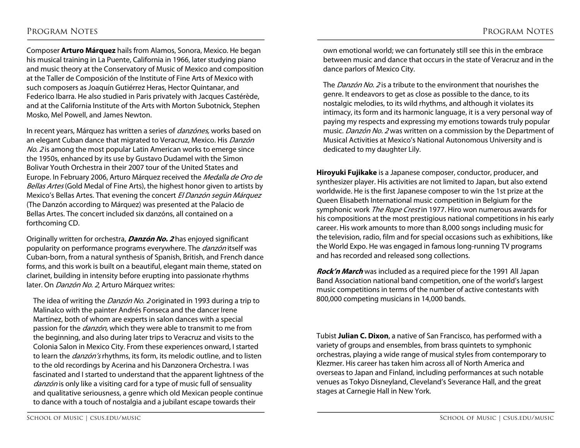Composer **Arturo Márquez** hails from Alamos, Sonora, Mexico. He began his musical training in La Puente, California in 1966, later studying piano and music theory at the Conservatory of Music of Mexico and composition at the Taller de Composición of the Institute of Fine Arts of Mexico with such composers as Joaquín Gutiérrez Heras, Hector Quintanar, and Federico Ibarra. He also studied in Paris privately with Jacques Castérède, and at the California Institute of the Arts with Morton Subotnick, Stephen Mosko, Mel Powell, and James Newton.

In recent years, Márquez has written a series of *danzónes*, works based on an elegant Cuban dance that migrated to Veracruz, Mexico. His Danzón No. 2 is among the most popular Latin American works to emerge since the 1950s, enhanced by its use by Gustavo Dudamel with the Simon Bolivar Youth Orchestra in their 2007 tour of the United States and Europe. In February 2006, Arturo Márquez received the Medalla de Oro de Bellas Artes (Gold Medal of Fine Arts), the highest honor given to artists by Mexico's Bellas Artes. That evening the concert El Danzón según Márquez (The Danzón according to Márquez) was presented at the Palacio de Bellas Artes. The concert included six danzóns, all contained on a forthcoming CD.

Originally written for orchestra, **Danzón No. <sup>2</sup>** has enjoyed significant popularity on performance programs everywhere. The *danzón* itself was Cuban-born, from a natural synthesis of Spanish, British, and French dance forms, and this work is built on a beautiful, elegant main theme, stated on clarinet, building in intensity before erupting into passionate rhythms later. On *Danzón No. 2*, Arturo Márquez writes:

The idea of writing the *Danzón No. 2* originated in 1993 during a trip to Malinalco with the painter Andrés Fonseca and the dancer Irene Martínez, both of whom are experts in salon dances with a special passion for the *danzón*, which they were able to transmit to me from the beginning, and also during later trips to Veracruz and visits to the Colonia Salon in Mexico City. From these experiences onward, I started to learn the *danzón's* rhythms, its form, its melodic outline, and to listen to the old recordings by Acerina and his Danzonera Orchestra. I was fascinated and I started to understand that the apparent lightness of the danzón is only like a visiting card for a type of music full of sensuality and qualitative seriousness, a genre which old Mexican people continue to dance with a touch of nostalgia and a jubilant escape towards their

own emotional world; we can fortunately still see this in the embrace between music and dance that occurs in the state of Veracruz and in the dance parlors of Mexico City.

The *Danzón No. 2* is a tribute to the environment that nourishes the genre. It endeavors to get as close as possible to the dance, to its nostalgic melodies, to its wild rhythms, and although it violates its intimacy, its form and its harmonic language, it is a very personal way of paying my respects and expressing my emotions towards truly popular music. Danzón No. 2 was written on a commission by the Department of Musical Activities at Mexico's National Autonomous University and is dedicated to my daughter Lily.

**Hiroyuki Fujikake** is a Japanese composer, conductor, producer, and synthesizer player. His activities are not limited to Japan, but also extend worldwide. He is the first Japanese composer to win the 1st prize at the Queen Elisabeth International music competition in Belgium for the symphonic work The Rope Crest in 1977. Hiro won numerous awards for his compositions at the most prestigious national competitions in his early career. His work amounts to more than 8,000 songs including music for the television, radio, film and for special occasions such as exhibitions, like the World Expo. He was engaged in famous long-running TV programs and has recorded and released song collections.

**Rock'n March** was included as a required piece for the 1991 All Japan Band Association national band competition, one of the world's largest music competitions in terms of the number of active contestants with 800,000 competing musicians in 14,000 bands.

Tubist **Julian C. Dixon**, a native of San Francisco, has performed with a variety of groups and ensembles, from brass quintets to symphonic orchestras, playing a wide range of musical styles from contemporary to Klezmer. His career has taken him across all of North America and overseas to Japan and Finland, including performances at such notable venues as Tokyo Disneyland, Cleveland's Severance Hall, and the great stages at Carnegie Hall in New York.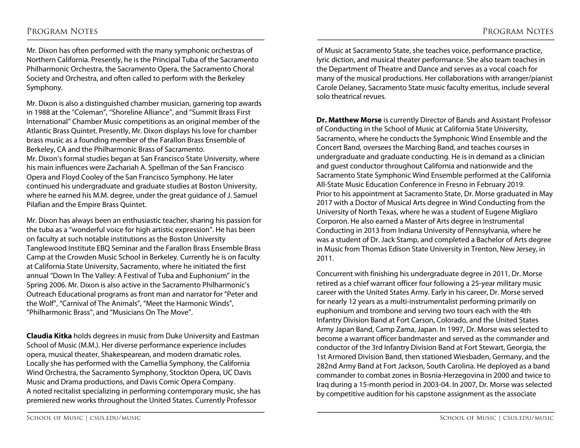Mr. Dixon has often performed with the many symphonic orchestras of Northern California. Presently, he is the Principal Tuba of the Sacramento Philharmonic Orchestra, the Sacramento Opera, the Sacramento Choral Society and Orchestra, and often called to perform with the Berkeley Symphony.

Mr. Dixon is also a distinguished chamber musician, garnering top awards in 1988 at the "Coleman", "Shoreline Alliance", and "Summit Brass First International" Chamber Music competitions as an original member of the Atlantic Brass Quintet. Presently, Mr. Dixon displays his love for chamber brass music as a founding member of the Farallon Brass Ensemble of Berkeley, CA and the Philharmonic Brass of Sacramento. Mr. Dixon's formal studies began at San Francisco State University, where his main influences were Zachariah A. Spellman of the San Francisco Opera and Floyd Cooley of the San Francisco Symphony. He later continued his undergraduate and graduate studies at Boston University, where he earned his M.M. degree, under the great guidance of J. Samuel Pilafian and the Empire Brass Quintet.

Mr. Dixon has always been an enthusiastic teacher, sharing his passion for the tuba as a "wonderful voice for high artistic expression". He has been on faculty at such notable institutions as the Boston University Tanglewood Institute EBQ Seminar and the Farallon Brass Ensemble Brass Camp at the Crowden Music School in Berkeley. Currently he is on faculty at California State University, Sacramento, where he initiated the first annual "Down In The Valley: A Festival of Tuba and Euphonium" in the Spring 2006. Mr. Dixon is also active in the Sacramento Philharmonic's Outreach Educational programs as front man and narrator for "Peter and the Wolf", "Carnival of The Animals", "Meet the Harmonic Winds", "Philharmonic Brass", and "Musicians On The Move".

**Claudia Kitka** holds degrees in music from Duke University and Eastman School of Music (M.M.). Her diverse performance experience includes opera, musical theater, Shakespearean, and modern dramatic roles. Locally she has performed with the Camellia Symphony, the California Wind Orchestra, the Sacramento Symphony, Stockton Opera, UC Davis Music and Drama productions, and Davis Comic Opera Company. A noted recitalist specializing in performing contemporary music, she has premiered new works throughout the United States. Currently Professor

of Music at Sacramento State, she teaches voice, performance practice, lyric diction, and musical theater performance. She also team teaches in the Department of Theatre and Dance and serves as a vocal coach for many of the musical productions. Her collaborations with arranger/pianist Carole Delaney, Sacramento State music faculty emeritus, include several solo theatrical revues.

**Dr. Matthew Morse** is currently Director of Bands and Assistant Professor of Conducting in the School of Music at California State University, Sacramento, where he conducts the Symphonic Wind Ensemble and the Concert Band, oversees the Marching Band, and teaches courses in undergraduate and graduate conducting. He is in demand as a clinician and guest conductor throughout California and nationwide and the Sacramento State Symphonic Wind Ensemble performed at the California All-State Music Education Conference in Fresno in February 2019. Prior to his appointment at Sacramento State, Dr. Morse graduated in May 2017 with a Doctor of Musical Arts degree in Wind Conducting from the University of North Texas, where he was a student of Eugene Migliaro Corporon. He also earned a Master of Arts degree in Instrumental Conducting in 2013 from Indiana University of Pennsylvania, where he was a student of Dr. Jack Stamp, and completed a Bachelor of Arts degree in Music from Thomas Edison State University in Trenton, New Jersey, in 2011.

Concurrent with finishing his undergraduate degree in 2011, Dr. Morse retired as a chief warrant officer four following a 25-year military music career with the United States Army. Early in his career, Dr. Morse served for nearly 12 years as a multi-instrumentalist performing primarily on euphonium and trombone and serving two tours each with the 4th Infantry Division Band at Fort Carson, Colorado, and the United States Army Japan Band, Camp Zama, Japan. In 1997, Dr. Morse was selected to become a warrant officer bandmaster and served as the commander and conductor of the 3rd Infantry Division Band at Fort Stewart, Georgia, the 1st Armored Division Band, then stationed Wiesbaden, Germany, and the 282nd Army Band at Fort Jackson, South Carolina. He deployed as a band commander to combat zones in Bosnia-Herzegovina in 2000 and twice to Iraq during a 15-month period in 2003-04. In 2007, Dr. Morse was selected by competitive audition for his capstone assignment as the associate